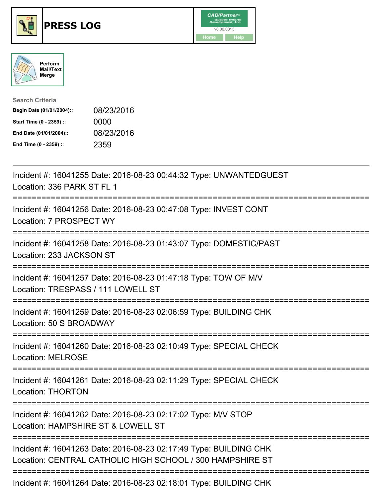





| <b>Search Criteria</b>    |            |
|---------------------------|------------|
| Begin Date (01/01/2004):: | 08/23/2016 |
| Start Time (0 - 2359) ::  | 0000       |
| End Date (01/01/2004)::   | 08/23/2016 |
| End Time (0 - 2359) ::    | 2359       |

| Incident #: 16041255 Date: 2016-08-23 00:44:32 Type: UNWANTEDGUEST<br>Location: 336 PARK ST FL 1                               |
|--------------------------------------------------------------------------------------------------------------------------------|
| Incident #: 16041256 Date: 2016-08-23 00:47:08 Type: INVEST CONT<br>Location: 7 PROSPECT WY                                    |
| Incident #: 16041258 Date: 2016-08-23 01:43:07 Type: DOMESTIC/PAST<br>Location: 233 JACKSON ST                                 |
| Incident #: 16041257 Date: 2016-08-23 01:47:18 Type: TOW OF M/V<br>Location: TRESPASS / 111 LOWELL ST                          |
| Incident #: 16041259 Date: 2016-08-23 02:06:59 Type: BUILDING CHK<br>Location: 50 S BROADWAY                                   |
| Incident #: 16041260 Date: 2016-08-23 02:10:49 Type: SPECIAL CHECK<br><b>Location: MELROSE</b>                                 |
| Incident #: 16041261 Date: 2016-08-23 02:11:29 Type: SPECIAL CHECK<br><b>Location: THORTON</b>                                 |
| Incident #: 16041262 Date: 2016-08-23 02:17:02 Type: M/V STOP<br>Location: HAMPSHIRE ST & LOWELL ST                            |
| Incident #: 16041263 Date: 2016-08-23 02:17:49 Type: BUILDING CHK<br>Location: CENTRAL CATHOLIC HIGH SCHOOL / 300 HAMPSHIRE ST |
| Incident #: 16041264 Date: 2016-08-23 02:18:01 Type: BUILDING CHK                                                              |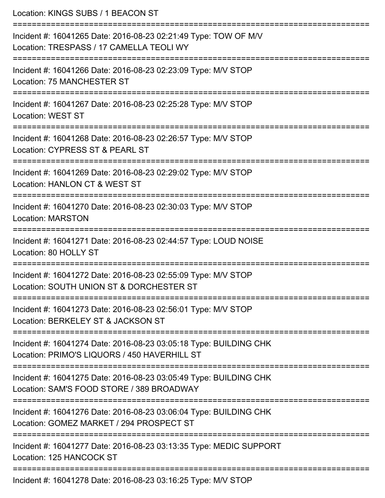| Location: KINGS SUBS / 1 BEACON ST                                                                                                   |
|--------------------------------------------------------------------------------------------------------------------------------------|
| Incident #: 16041265 Date: 2016-08-23 02:21:49 Type: TOW OF M/V<br>Location: TRESPASS / 17 CAMELLA TEOLI WY<br>:==================== |
| Incident #: 16041266 Date: 2016-08-23 02:23:09 Type: M/V STOP<br>Location: 75 MANCHESTER ST                                          |
| Incident #: 16041267 Date: 2016-08-23 02:25:28 Type: M/V STOP<br><b>Location: WEST ST</b>                                            |
| Incident #: 16041268 Date: 2016-08-23 02:26:57 Type: M/V STOP<br>Location: CYPRESS ST & PEARL ST                                     |
| Incident #: 16041269 Date: 2016-08-23 02:29:02 Type: M/V STOP<br>Location: HANLON CT & WEST ST                                       |
| Incident #: 16041270 Date: 2016-08-23 02:30:03 Type: M/V STOP<br><b>Location: MARSTON</b>                                            |
| Incident #: 16041271 Date: 2016-08-23 02:44:57 Type: LOUD NOISE<br>Location: 80 HOLLY ST                                             |
| ==================<br>Incident #: 16041272 Date: 2016-08-23 02:55:09 Type: M/V STOP<br>Location: SOUTH UNION ST & DORCHESTER ST      |
| Incident #: 16041273 Date: 2016-08-23 02:56:01 Type: M/V STOP<br>Location: BERKELEY ST & JACKSON ST                                  |
| Incident #: 16041274 Date: 2016-08-23 03:05:18 Type: BUILDING CHK<br>Location: PRIMO'S LIQUORS / 450 HAVERHILL ST                    |
| Incident #: 16041275 Date: 2016-08-23 03:05:49 Type: BUILDING CHK<br>Location: SAM'S FOOD STORE / 389 BROADWAY                       |
| Incident #: 16041276 Date: 2016-08-23 03:06:04 Type: BUILDING CHK<br>Location: GOMEZ MARKET / 294 PROSPECT ST                        |
| Incident #: 16041277 Date: 2016-08-23 03:13:35 Type: MEDIC SUPPORT<br>Location: 125 HANCOCK ST                                       |
| Incident #: 16041278 Date: 2016-08-23 03:16:25 Type: M/V STOP                                                                        |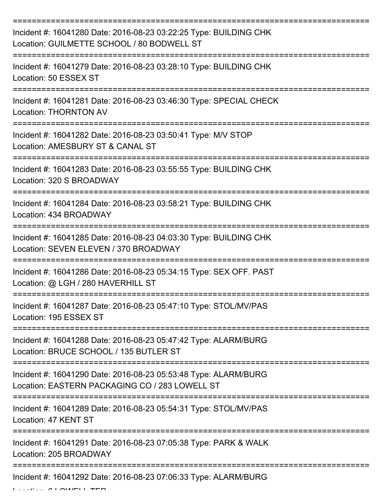| Incident #: 16041280 Date: 2016-08-23 03:22:25 Type: BUILDING CHK<br>Location: GUILMETTE SCHOOL / 80 BODWELL ST                      |
|--------------------------------------------------------------------------------------------------------------------------------------|
| Incident #: 16041279 Date: 2016-08-23 03:28:10 Type: BUILDING CHK<br>Location: 50 ESSEX ST                                           |
| Incident #: 16041281 Date: 2016-08-23 03:46:30 Type: SPECIAL CHECK<br><b>Location: THORNTON AV</b>                                   |
| Incident #: 16041282 Date: 2016-08-23 03:50:41 Type: M/V STOP<br>Location: AMESBURY ST & CANAL ST                                    |
| Incident #: 16041283 Date: 2016-08-23 03:55:55 Type: BUILDING CHK<br>Location: 320 S BROADWAY<br>=================================== |
| Incident #: 16041284 Date: 2016-08-23 03:58:21 Type: BUILDING CHK<br>Location: 434 BROADWAY                                          |
| Incident #: 16041285 Date: 2016-08-23 04:03:30 Type: BUILDING CHK<br>Location: SEVEN ELEVEN / 370 BROADWAY                           |
| Incident #: 16041286 Date: 2016-08-23 05:34:15 Type: SEX OFF. PAST<br>Location: @ LGH / 280 HAVERHILL ST                             |
| Incident #: 16041287 Date: 2016-08-23 05:47:10 Type: STOL/MV/PAS<br>Location: 195 ESSEX ST                                           |
| Incident #: 16041288 Date: 2016-08-23 05:47:42 Type: ALARM/BURG<br>Location: BRUCE SCHOOL / 135 BUTLER ST                            |
| Incident #: 16041290 Date: 2016-08-23 05:53:48 Type: ALARM/BURG<br>Location: EASTERN PACKAGING CO / 283 LOWELL ST                    |
| Incident #: 16041289 Date: 2016-08-23 05:54:31 Type: STOL/MV/PAS<br>Location: 47 KENT ST                                             |
| Incident #: 16041291 Date: 2016-08-23 07:05:38 Type: PARK & WALK<br>Location: 205 BROADWAY                                           |
| Incident #: 16041292 Date: 2016-08-23 07:06:33 Type: ALARM/BURG                                                                      |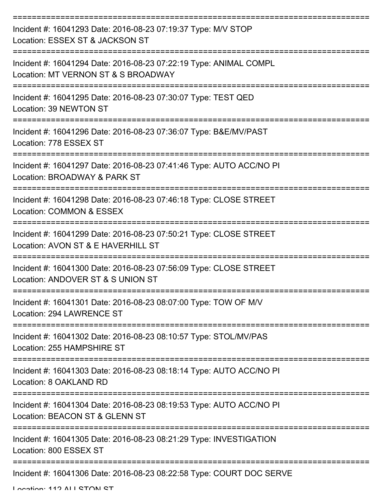| Incident #: 16041293 Date: 2016-08-23 07:19:37 Type: M/V STOP<br>Location: ESSEX ST & JACKSON ST         |
|----------------------------------------------------------------------------------------------------------|
| Incident #: 16041294 Date: 2016-08-23 07:22:19 Type: ANIMAL COMPL<br>Location: MT VERNON ST & S BROADWAY |
| Incident #: 16041295 Date: 2016-08-23 07:30:07 Type: TEST QED<br>Location: 39 NEWTON ST                  |
| Incident #: 16041296 Date: 2016-08-23 07:36:07 Type: B&E/MV/PAST<br>Location: 778 ESSEX ST               |
| Incident #: 16041297 Date: 2016-08-23 07:41:46 Type: AUTO ACC/NO PI<br>Location: BROADWAY & PARK ST      |
| Incident #: 16041298 Date: 2016-08-23 07:46:18 Type: CLOSE STREET<br>Location: COMMON & ESSEX            |
| Incident #: 16041299 Date: 2016-08-23 07:50:21 Type: CLOSE STREET<br>Location: AVON ST & E HAVERHILL ST  |
| Incident #: 16041300 Date: 2016-08-23 07:56:09 Type: CLOSE STREET<br>Location: ANDOVER ST & S UNION ST   |
| Incident #: 16041301 Date: 2016-08-23 08:07:00 Type: TOW OF M/V<br>Location: 294 LAWRENCE ST             |
| Incident #: 16041302 Date: 2016-08-23 08:10:57 Type: STOL/MV/PAS<br>Location: 255 HAMPSHIRE ST           |
| Incident #: 16041303 Date: 2016-08-23 08:18:14 Type: AUTO ACC/NO PI<br>Location: 8 OAKLAND RD            |
| Incident #: 16041304 Date: 2016-08-23 08:19:53 Type: AUTO ACC/NO PI<br>Location: BEACON ST & GLENN ST    |
| Incident #: 16041305 Date: 2016-08-23 08:21:29 Type: INVESTIGATION<br>Location: 800 ESSEX ST             |
| Incident #: 16041306 Date: 2016-08-23 08:22:58 Type: COURT DOC SERVE                                     |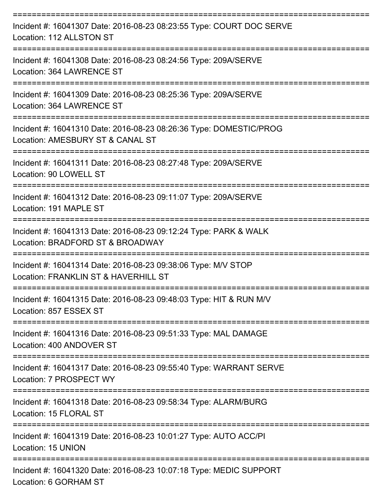| Incident #: 16041307 Date: 2016-08-23 08:23:55 Type: COURT DOC SERVE<br>Location: 112 ALLSTON ST                              |
|-------------------------------------------------------------------------------------------------------------------------------|
| Incident #: 16041308 Date: 2016-08-23 08:24:56 Type: 209A/SERVE<br>Location: 364 LAWRENCE ST                                  |
| Incident #: 16041309 Date: 2016-08-23 08:25:36 Type: 209A/SERVE<br>Location: 364 LAWRENCE ST<br>----------<br>--------------- |
| Incident #: 16041310 Date: 2016-08-23 08:26:36 Type: DOMESTIC/PROG<br>Location: AMESBURY ST & CANAL ST                        |
| Incident #: 16041311 Date: 2016-08-23 08:27:48 Type: 209A/SERVE<br>Location: 90 LOWELL ST                                     |
| -----------<br>Incident #: 16041312 Date: 2016-08-23 09:11:07 Type: 209A/SERVE<br>Location: 191 MAPLE ST                      |
| ===================<br>Incident #: 16041313 Date: 2016-08-23 09:12:24 Type: PARK & WALK<br>Location: BRADFORD ST & BROADWAY   |
| Incident #: 16041314 Date: 2016-08-23 09:38:06 Type: M/V STOP<br>Location: FRANKLIN ST & HAVERHILL ST                         |
| Incident #: 16041315 Date: 2016-08-23 09:48:03 Type: HIT & RUN M/V<br>Location: 857 ESSEX ST                                  |
| Incident #: 16041316 Date: 2016-08-23 09:51:33 Type: MAL DAMAGE<br>Location: 400 ANDOVER ST                                   |
| Incident #: 16041317 Date: 2016-08-23 09:55:40 Type: WARRANT SERVE<br>Location: 7 PROSPECT WY                                 |
| Incident #: 16041318 Date: 2016-08-23 09:58:34 Type: ALARM/BURG<br>Location: 15 FLORAL ST                                     |
| Incident #: 16041319 Date: 2016-08-23 10:01:27 Type: AUTO ACC/PI<br>Location: 15 UNION                                        |
| Incident #: 16041320 Date: 2016-08-23 10:07:18 Type: MEDIC SUPPORT<br>Location: 6 GORHAM ST                                   |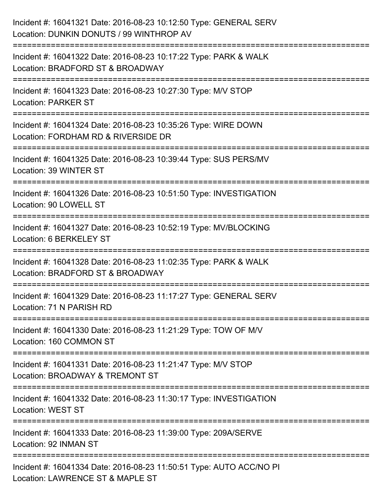| Incident #: 16041321 Date: 2016-08-23 10:12:50 Type: GENERAL SERV<br>Location: DUNKIN DONUTS / 99 WINTHROP AV                               |
|---------------------------------------------------------------------------------------------------------------------------------------------|
| :==================================<br>Incident #: 16041322 Date: 2016-08-23 10:17:22 Type: PARK & WALK<br>Location: BRADFORD ST & BROADWAY |
| Incident #: 16041323 Date: 2016-08-23 10:27:30 Type: M/V STOP<br><b>Location: PARKER ST</b>                                                 |
| Incident #: 16041324 Date: 2016-08-23 10:35:26 Type: WIRE DOWN<br>Location: FORDHAM RD & RIVERSIDE DR                                       |
| Incident #: 16041325 Date: 2016-08-23 10:39:44 Type: SUS PERS/MV<br>Location: 39 WINTER ST                                                  |
| Incident #: 16041326 Date: 2016-08-23 10:51:50 Type: INVESTIGATION<br>Location: 90 LOWELL ST                                                |
| Incident #: 16041327 Date: 2016-08-23 10:52:19 Type: MV/BLOCKING<br>Location: 6 BERKELEY ST<br>=======================                      |
| Incident #: 16041328 Date: 2016-08-23 11:02:35 Type: PARK & WALK<br>Location: BRADFORD ST & BROADWAY                                        |
| Incident #: 16041329 Date: 2016-08-23 11:17:27 Type: GENERAL SERV<br>Location: 71 N PARISH RD                                               |
| Incident #: 16041330 Date: 2016-08-23 11:21:29 Type: TOW OF M/V<br>Location: 160 COMMON ST                                                  |
| Incident #: 16041331 Date: 2016-08-23 11:21:47 Type: M/V STOP<br>Location: BROADWAY & TREMONT ST                                            |
| Incident #: 16041332 Date: 2016-08-23 11:30:17 Type: INVESTIGATION<br><b>Location: WEST ST</b>                                              |
| Incident #: 16041333 Date: 2016-08-23 11:39:00 Type: 209A/SERVE<br>Location: 92 INMAN ST                                                    |
| Incident #: 16041334 Date: 2016-08-23 11:50:51 Type: AUTO ACC/NO PI<br>Location: LAWRENCE ST & MAPLE ST                                     |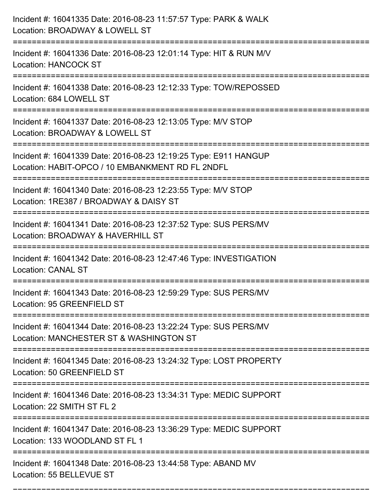| Incident #: 16041335 Date: 2016-08-23 11:57:57 Type: PARK & WALK<br>Location: BROADWAY & LOWELL ST                                                    |
|-------------------------------------------------------------------------------------------------------------------------------------------------------|
| Incident #: 16041336 Date: 2016-08-23 12:01:14 Type: HIT & RUN M/V<br><b>Location: HANCOCK ST</b>                                                     |
| Incident #: 16041338 Date: 2016-08-23 12:12:33 Type: TOW/REPOSSED<br>Location: 684 LOWELL ST                                                          |
| Incident #: 16041337 Date: 2016-08-23 12:13:05 Type: M/V STOP<br>Location: BROADWAY & LOWELL ST                                                       |
| Incident #: 16041339 Date: 2016-08-23 12:19:25 Type: E911 HANGUP<br>Location: HABIT-OPCO / 10 EMBANKMENT RD FL 2NDFL                                  |
| Incident #: 16041340 Date: 2016-08-23 12:23:55 Type: M/V STOP<br>Location: 1RE387 / BROADWAY & DAISY ST                                               |
| Incident #: 16041341 Date: 2016-08-23 12:37:52 Type: SUS PERS/MV<br>Location: BROADWAY & HAVERHILL ST                                                 |
| Incident #: 16041342 Date: 2016-08-23 12:47:46 Type: INVESTIGATION<br><b>Location: CANAL ST</b>                                                       |
| Incident #: 16041343 Date: 2016-08-23 12:59:29 Type: SUS PERS/MV<br>Location: 95 GREENFIELD ST                                                        |
| Incident #: 16041344 Date: 2016-08-23 13:22:24 Type: SUS PERS/MV<br>Location: MANCHESTER ST & WASHINGTON ST<br>====================================== |
| Incident #: 16041345 Date: 2016-08-23 13:24:32 Type: LOST PROPERTY<br>Location: 50 GREENFIELD ST                                                      |
| Incident #: 16041346 Date: 2016-08-23 13:34:31 Type: MEDIC SUPPORT<br>Location: 22 SMITH ST FL 2                                                      |
| Incident #: 16041347 Date: 2016-08-23 13:36:29 Type: MEDIC SUPPORT<br>Location: 133 WOODLAND ST FL 1                                                  |
| Incident #: 16041348 Date: 2016-08-23 13:44:58 Type: ABAND MV<br>Location: 55 BELLEVUE ST                                                             |

===========================================================================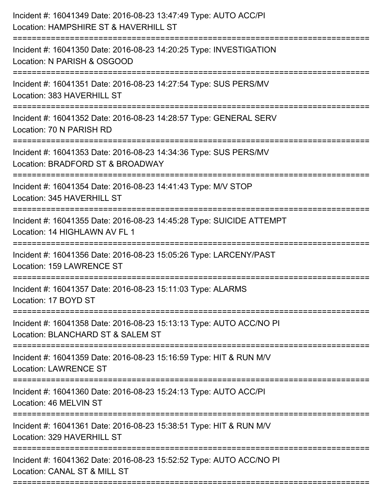| Incident #: 16041349 Date: 2016-08-23 13:47:49 Type: AUTO ACC/PI<br>Location: HAMPSHIRE ST & HAVERHILL ST<br>================================ |
|-----------------------------------------------------------------------------------------------------------------------------------------------|
| Incident #: 16041350 Date: 2016-08-23 14:20:25 Type: INVESTIGATION<br>Location: N PARISH & OSGOOD                                             |
| Incident #: 16041351 Date: 2016-08-23 14:27:54 Type: SUS PERS/MV<br>Location: 383 HAVERHILL ST<br>=================================           |
| Incident #: 16041352 Date: 2016-08-23 14:28:57 Type: GENERAL SERV<br>Location: 70 N PARISH RD                                                 |
| Incident #: 16041353 Date: 2016-08-23 14:34:36 Type: SUS PERS/MV<br>Location: BRADFORD ST & BROADWAY                                          |
| Incident #: 16041354 Date: 2016-08-23 14:41:43 Type: M/V STOP<br>Location: 345 HAVERHILL ST                                                   |
| Incident #: 16041355 Date: 2016-08-23 14:45:28 Type: SUICIDE ATTEMPT<br>Location: 14 HIGHLAWN AV FL 1                                         |
| Incident #: 16041356 Date: 2016-08-23 15:05:26 Type: LARCENY/PAST<br>Location: 159 LAWRENCE ST                                                |
| Incident #: 16041357 Date: 2016-08-23 15:11:03 Type: ALARMS<br>Location: 17 BOYD ST                                                           |
| Incident #: 16041358 Date: 2016-08-23 15:13:13 Type: AUTO ACC/NO PI<br>Location: BLANCHARD ST & SALEM ST                                      |
| Incident #: 16041359 Date: 2016-08-23 15:16:59 Type: HIT & RUN M/V<br><b>Location: LAWRENCE ST</b>                                            |
| Incident #: 16041360 Date: 2016-08-23 15:24:13 Type: AUTO ACC/PI<br>Location: 46 MELVIN ST                                                    |
| Incident #: 16041361 Date: 2016-08-23 15:38:51 Type: HIT & RUN M/V<br>Location: 329 HAVERHILL ST                                              |
| Incident #: 16041362 Date: 2016-08-23 15:52:52 Type: AUTO ACC/NO PI<br>Location: CANAL ST & MILL ST                                           |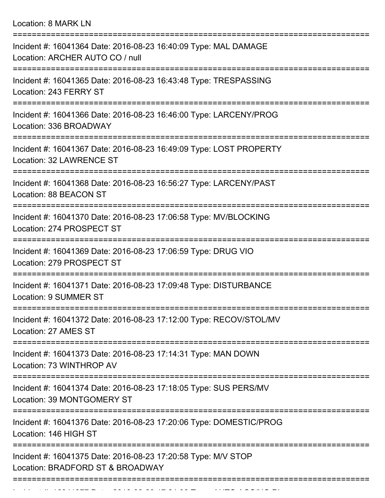Location: 8 MARK LN

| Incident #: 16041364 Date: 2016-08-23 16:40:09 Type: MAL DAMAGE<br>Location: ARCHER AUTO CO / null                                       |
|------------------------------------------------------------------------------------------------------------------------------------------|
| Incident #: 16041365 Date: 2016-08-23 16:43:48 Type: TRESPASSING<br>Location: 243 FERRY ST                                               |
| Incident #: 16041366 Date: 2016-08-23 16:46:00 Type: LARCENY/PROG<br>Location: 336 BROADWAY                                              |
| Incident #: 16041367 Date: 2016-08-23 16:49:09 Type: LOST PROPERTY<br>Location: 32 LAWRENCE ST                                           |
| Incident #: 16041368 Date: 2016-08-23 16:56:27 Type: LARCENY/PAST<br>Location: 88 BEACON ST                                              |
| Incident #: 16041370 Date: 2016-08-23 17:06:58 Type: MV/BLOCKING<br>Location: 274 PROSPECT ST                                            |
| Incident #: 16041369 Date: 2016-08-23 17:06:59 Type: DRUG VIO<br>Location: 279 PROSPECT ST<br>==========                                 |
| Incident #: 16041371 Date: 2016-08-23 17:09:48 Type: DISTURBANCE<br>Location: 9 SUMMER ST                                                |
| Incident #: 16041372 Date: 2016-08-23 17:12:00 Type: RECOV/STOL/MV<br>Location: 27 AMES ST                                               |
| ===================<br>--------------------<br>Incident #: 16041373 Date: 2016-08-23 17:14:31 Type: MAN DOWN<br>Location: 73 WINTHROP AV |
| Incident #: 16041374 Date: 2016-08-23 17:18:05 Type: SUS PERS/MV<br>Location: 39 MONTGOMERY ST                                           |
| Incident #: 16041376 Date: 2016-08-23 17:20:06 Type: DOMESTIC/PROG<br>Location: 146 HIGH ST                                              |
| Incident #: 16041375 Date: 2016-08-23 17:20:58 Type: M/V STOP<br>Location: BRADFORD ST & BROADWAY                                        |
|                                                                                                                                          |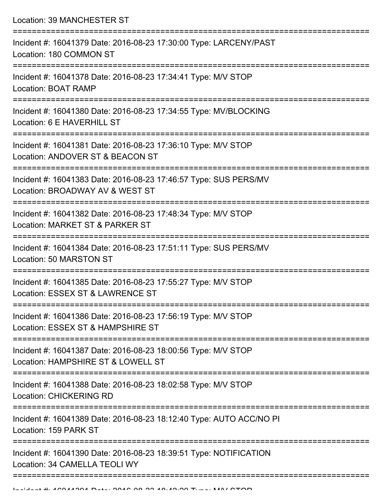Location: 39 MANCHESTER ST

| Incident #: 16041379 Date: 2016-08-23 17:30:00 Type: LARCENY/PAST<br>Location: 180 COMMON ST        |
|-----------------------------------------------------------------------------------------------------|
| Incident #: 16041378 Date: 2016-08-23 17:34:41 Type: M/V STOP<br>Location: BOAT RAMP                |
| Incident #: 16041380 Date: 2016-08-23 17:34:55 Type: MV/BLOCKING<br>Location: 6 E HAVERHILL ST      |
| Incident #: 16041381 Date: 2016-08-23 17:36:10 Type: M/V STOP<br>Location: ANDOVER ST & BEACON ST   |
| Incident #: 16041383 Date: 2016-08-23 17:46:57 Type: SUS PERS/MV<br>Location: BROADWAY AV & WEST ST |
| Incident #: 16041382 Date: 2016-08-23 17:48:34 Type: M/V STOP<br>Location: MARKET ST & PARKER ST    |
| Incident #: 16041384 Date: 2016-08-23 17:51:11 Type: SUS PERS/MV<br>Location: 50 MARSTON ST         |
| Incident #: 16041385 Date: 2016-08-23 17:55:27 Type: M/V STOP<br>Location: ESSEX ST & LAWRENCE ST   |
| Incident #: 16041386 Date: 2016-08-23 17:56:19 Type: M/V STOP<br>Location: ESSEX ST & HAMPSHIRE ST  |
| Incident #: 16041387 Date: 2016-08-23 18:00:56 Type: M/V STOP<br>Location: HAMPSHIRE ST & LOWELL ST |
| Incident #: 16041388 Date: 2016-08-23 18:02:58 Type: M/V STOP<br><b>Location: CHICKERING RD</b>     |
| Incident #: 16041389 Date: 2016-08-23 18:12:40 Type: AUTO ACC/NO PI<br>Location: 159 PARK ST        |
| Incident #: 16041390 Date: 2016-08-23 18:39:51 Type: NOTIFICATION<br>Location: 34 CAMELLA TEOLI WY  |
|                                                                                                     |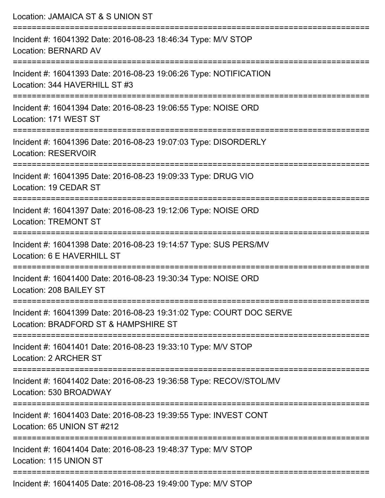| Location: JAMAICA ST & S UNION ST                                                                                      |
|------------------------------------------------------------------------------------------------------------------------|
| Incident #: 16041392 Date: 2016-08-23 18:46:34 Type: M/V STOP<br><b>Location: BERNARD AV</b>                           |
| Incident #: 16041393 Date: 2016-08-23 19:06:26 Type: NOTIFICATION<br>Location: 344 HAVERHILL ST #3                     |
| Incident #: 16041394 Date: 2016-08-23 19:06:55 Type: NOISE ORD<br>Location: 171 WEST ST                                |
| Incident #: 16041396 Date: 2016-08-23 19:07:03 Type: DISORDERLY<br><b>Location: RESERVOIR</b>                          |
| Incident #: 16041395 Date: 2016-08-23 19:09:33 Type: DRUG VIO<br>Location: 19 CEDAR ST<br>=======================      |
| Incident #: 16041397 Date: 2016-08-23 19:12:06 Type: NOISE ORD<br><b>Location: TREMONT ST</b>                          |
| Incident #: 16041398 Date: 2016-08-23 19:14:57 Type: SUS PERS/MV<br>Location: 6 E HAVERHILL ST                         |
| Incident #: 16041400 Date: 2016-08-23 19:30:34 Type: NOISE ORD<br>Location: 208 BAILEY ST                              |
| Incident #: 16041399 Date: 2016-08-23 19:31:02 Type: COURT DOC SERVE<br>Location: BRADFORD ST & HAMPSHIRE ST           |
| Incident #: 16041401 Date: 2016-08-23 19:33:10 Type: M/V STOP<br><b>Location: 2 ARCHER ST</b>                          |
| ----------------------<br>Incident #: 16041402 Date: 2016-08-23 19:36:58 Type: RECOV/STOL/MV<br>Location: 530 BROADWAY |
| Incident #: 16041403 Date: 2016-08-23 19:39:55 Type: INVEST CONT<br>Location: 65 UNION ST #212                         |
| Incident #: 16041404 Date: 2016-08-23 19:48:37 Type: M/V STOP<br>Location: 115 UNION ST                                |
| $1105$ Detai 0010.00.00.10:10:00 Times, $M11$ OTOD                                                                     |

Incident #: 16041405 Date: 2016-08-23 19:49:00 Type: M/V STOP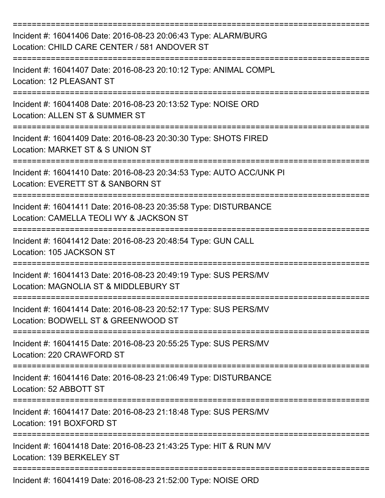| Incident #: 16041406 Date: 2016-08-23 20:06:43 Type: ALARM/BURG<br>Location: CHILD CARE CENTER / 581 ANDOVER ST<br>===================== |
|------------------------------------------------------------------------------------------------------------------------------------------|
| Incident #: 16041407 Date: 2016-08-23 20:10:12 Type: ANIMAL COMPL<br><b>Location: 12 PLEASANT ST</b>                                     |
| Incident #: 16041408 Date: 2016-08-23 20:13:52 Type: NOISE ORD<br>Location: ALLEN ST & SUMMER ST                                         |
| Incident #: 16041409 Date: 2016-08-23 20:30:30 Type: SHOTS FIRED<br>Location: MARKET ST & S UNION ST                                     |
| Incident #: 16041410 Date: 2016-08-23 20:34:53 Type: AUTO ACC/UNK PI<br>Location: EVERETT ST & SANBORN ST                                |
| Incident #: 16041411 Date: 2016-08-23 20:35:58 Type: DISTURBANCE<br>Location: CAMELLA TEOLI WY & JACKSON ST                              |
| Incident #: 16041412 Date: 2016-08-23 20:48:54 Type: GUN CALL<br>Location: 105 JACKSON ST                                                |
| Incident #: 16041413 Date: 2016-08-23 20:49:19 Type: SUS PERS/MV<br>Location: MAGNOLIA ST & MIDDLEBURY ST                                |
| Incident #: 16041414 Date: 2016-08-23 20:52:17 Type: SUS PERS/MV<br>Location: BODWELL ST & GREENWOOD ST                                  |
| Incident #: 16041415 Date: 2016-08-23 20:55:25 Type: SUS PERS/MV<br>Location: 220 CRAWFORD ST                                            |
| Incident #: 16041416 Date: 2016-08-23 21:06:49 Type: DISTURBANCE<br>Location: 52 ABBOTT ST                                               |
| Incident #: 16041417 Date: 2016-08-23 21:18:48 Type: SUS PERS/MV<br>Location: 191 BOXFORD ST                                             |
| Incident #: 16041418 Date: 2016-08-23 21:43:25 Type: HIT & RUN M/V<br>Location: 139 BERKELEY ST                                          |
| Incident #: 16041419 Date: 2016-08-23 21:52:00 Type: NOISE ORD                                                                           |